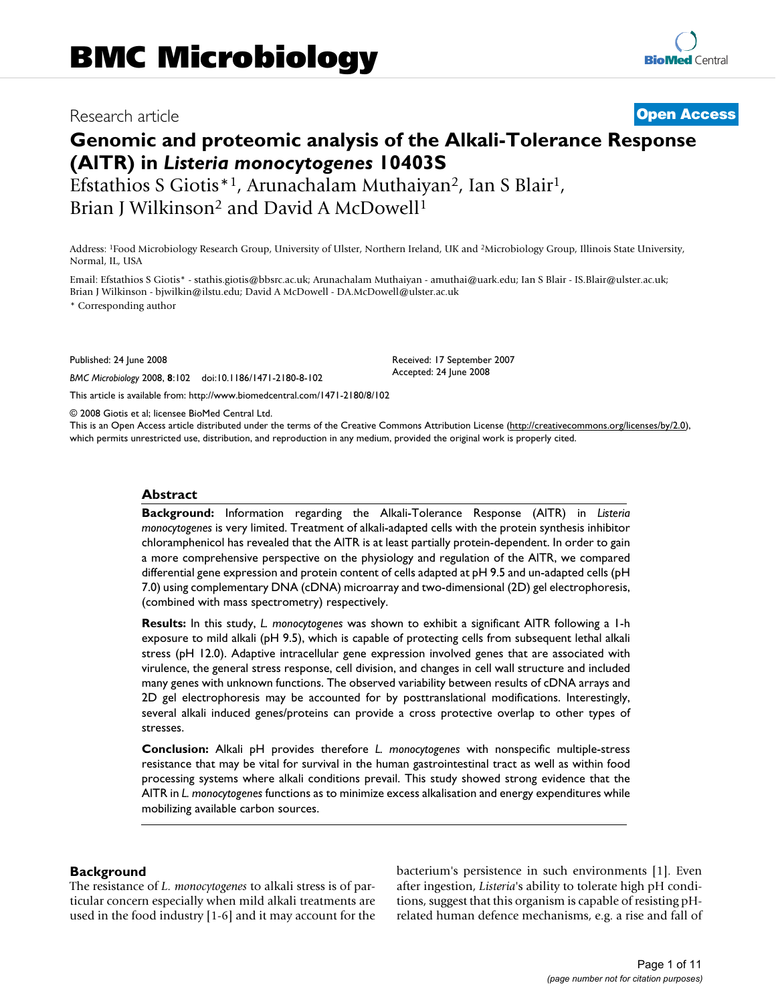## Research article **[Open Access](http://www.biomedcentral.com/info/about/charter/)**

# **Genomic and proteomic analysis of the Alkali-Tolerance Response (AlTR) in** *Listeria monocytogenes* **10403S**

Efstathios S Giotis\*<sup>1</sup>, Arunachalam Muthaiyan<sup>2</sup>, Ian S Blair<sup>1</sup>, Brian J Wilkinson<sup>2</sup> and David A McDowell<sup>1</sup>

Address: 1Food Microbiology Research Group, University of Ulster, Northern Ireland, UK and 2Microbiology Group, Illinois State University, Normal, IL, USA

Email: Efstathios S Giotis\* - stathis.giotis@bbsrc.ac.uk; Arunachalam Muthaiyan - amuthai@uark.edu; Ian S Blair - IS.Blair@ulster.ac.uk; Brian J Wilkinson - bjwilkin@ilstu.edu; David A McDowell - DA.McDowell@ulster.ac.uk

\* Corresponding author

Published: 24 June 2008

*BMC Microbiology* 2008, **8**:102 doi:10.1186/1471-2180-8-102

[This article is available from: http://www.biomedcentral.com/1471-2180/8/102](http://www.biomedcentral.com/1471-2180/8/102)

© 2008 Giotis et al; licensee BioMed Central Ltd.

This is an Open Access article distributed under the terms of the Creative Commons Attribution License [\(http://creativecommons.org/licenses/by/2.0\)](http://creativecommons.org/licenses/by/2.0), which permits unrestricted use, distribution, and reproduction in any medium, provided the original work is properly cited.

Received: 17 September 2007 Accepted: 24 June 2008

#### **Abstract**

**Background:** Information regarding the Alkali-Tolerance Response (AlTR) in *Listeria monocytogenes* is very limited. Treatment of alkali-adapted cells with the protein synthesis inhibitor chloramphenicol has revealed that the AlTR is at least partially protein-dependent. In order to gain a more comprehensive perspective on the physiology and regulation of the AlTR, we compared differential gene expression and protein content of cells adapted at pH 9.5 and un-adapted cells (pH 7.0) using complementary DNA (cDNA) microarray and two-dimensional (2D) gel electrophoresis, (combined with mass spectrometry) respectively.

**Results:** In this study, *L. monocytogenes* was shown to exhibit a significant AlTR following a 1-h exposure to mild alkali (pH 9.5), which is capable of protecting cells from subsequent lethal alkali stress (pH 12.0). Adaptive intracellular gene expression involved genes that are associated with virulence, the general stress response, cell division, and changes in cell wall structure and included many genes with unknown functions. The observed variability between results of cDNA arrays and 2D gel electrophoresis may be accounted for by posttranslational modifications. Interestingly, several alkali induced genes/proteins can provide a cross protective overlap to other types of stresses.

**Conclusion:** Alkali pH provides therefore *L. monocytogenes* with nonspecific multiple-stress resistance that may be vital for survival in the human gastrointestinal tract as well as within food processing systems where alkali conditions prevail. This study showed strong evidence that the AlTR in *L. monocytogenes* functions as to minimize excess alkalisation and energy expenditures while mobilizing available carbon sources.

#### **Background**

The resistance of *L. monocytogenes* to alkali stress is of particular concern especially when mild alkali treatments are used in the food industry [1-6] and it may account for the bacterium's persistence in such environments [1]. Even after ingestion, *Listeria*'s ability to tolerate high pH conditions, suggest that this organism is capable of resisting pHrelated human defence mechanisms, e.g. a rise and fall of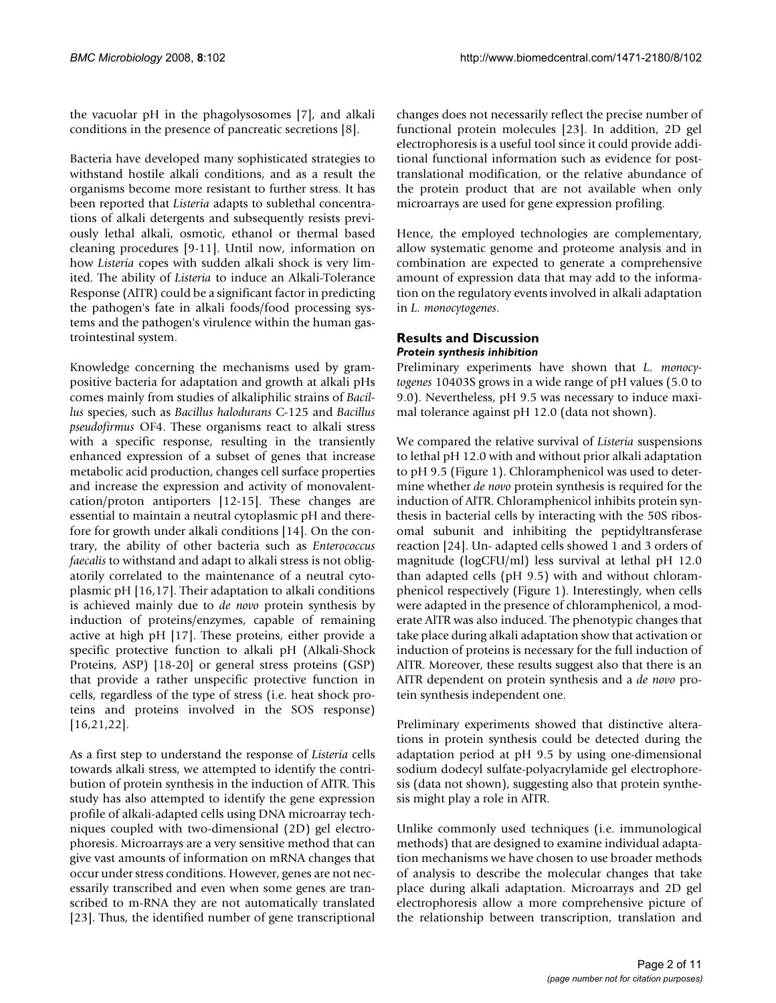the vacuolar pH in the phagolysosomes [7], and alkali conditions in the presence of pancreatic secretions [8].

Bacteria have developed many sophisticated strategies to withstand hostile alkali conditions, and as a result the organisms become more resistant to further stress. It has been reported that *Listeria* adapts to sublethal concentrations of alkali detergents and subsequently resists previously lethal alkali, osmotic, ethanol or thermal based cleaning procedures [9-11]. Until now, information on how *Listeria* copes with sudden alkali shock is very limited. The ability of *Listeria* to induce an Alkali-Tolerance Response (AlTR) could be a significant factor in predicting the pathogen's fate in alkali foods/food processing systems and the pathogen's virulence within the human gastrointestinal system.

Knowledge concerning the mechanisms used by grampositive bacteria for adaptation and growth at alkali pHs comes mainly from studies of alkaliphilic strains of *Bacillus* species, such as *Bacillus halodurans* C-125 and *Bacillus pseudofirmus* OF4. These organisms react to alkali stress with a specific response, resulting in the transiently enhanced expression of a subset of genes that increase metabolic acid production, changes cell surface properties and increase the expression and activity of monovalentcation/proton antiporters [12-15]. These changes are essential to maintain a neutral cytoplasmic pH and therefore for growth under alkali conditions [14]. On the contrary, the ability of other bacteria such as *Enterococcus faecalis* to withstand and adapt to alkali stress is not obligatorily correlated to the maintenance of a neutral cytoplasmic pH [16,[17\]](#page-9-0). Their adaptation to alkali conditions is achieved mainly due to *de novo* protein synthesis by induction of proteins/enzymes, capable of remaining active at high pH [\[17\]](#page-9-0). These proteins, either provide a specific protective function to alkali pH (Alkali-Shock Proteins, ASP) [18-20] or general stress proteins (GSP) that provide a rather unspecific protective function in cells, regardless of the type of stress (i.e. heat shock proteins and proteins involved in the SOS response) [16,21,22].

As a first step to understand the response of *Listeria* cells towards alkali stress, we attempted to identify the contribution of protein synthesis in the induction of AlTR. This study has also attempted to identify the gene expression profile of alkali-adapted cells using DNA microarray techniques coupled with two-dimensional (2D) gel electrophoresis. Microarrays are a very sensitive method that can give vast amounts of information on mRNA changes that occur under stress conditions. However, genes are not necessarily transcribed and even when some genes are transcribed to m-RNA they are not automatically translated [23]. Thus, the identified number of gene transcriptional

changes does not necessarily reflect the precise number of functional protein molecules [23]. In addition, 2D gel electrophoresis is a useful tool since it could provide additional functional information such as evidence for posttranslational modification, or the relative abundance of the protein product that are not available when only microarrays are used for gene expression profiling.

Hence, the employed technologies are complementary, allow systematic genome and proteome analysis and in combination are expected to generate a comprehensive amount of expression data that may add to the information on the regulatory events involved in alkali adaptation in *L. monocytogenes*.

#### **Results and Discussion** *Protein synthesis inhibition*

Preliminary experiments have shown that *L. monocytogenes* 10403S grows in a wide range of pH values (5.0 to 9.0). Nevertheless, pH 9.5 was necessary to induce maximal tolerance against pH 12.0 (data not shown).

We compared the relative survival of *Listeria* suspensions to lethal pH 12.0 with and without prior alkali adaptation to pH 9.5 (Figure 1). Chloramphenicol was used to determine whether *de novo* protein synthesis is required for the induction of AlTR. Chloramphenicol inhibits protein synthesis in bacterial cells by interacting with the 50S ribosomal subunit and inhibiting the peptidyltransferase reaction [24]. Un- adapted cells showed 1 and 3 orders of magnitude (logCFU/ml) less survival at lethal pH 12.0 than adapted cells (pH 9.5) with and without chloramphenicol respectively (Figure 1). Interestingly, when cells were adapted in the presence of chloramphenicol, a moderate AlTR was also induced. The phenotypic changes that take place during alkali adaptation show that activation or induction of proteins is necessary for the full induction of AlTR. Moreover, these results suggest also that there is an AITR dependent on protein synthesis and a *de novo* protein synthesis independent one.

Preliminary experiments showed that distinctive alterations in protein synthesis could be detected during the adaptation period at pH 9.5 by using one-dimensional sodium dodecyl sulfate-polyacrylamide gel electrophoresis (data not shown), suggesting also that protein synthesis might play a role in AlTR.

Unlike commonly used techniques (i.e. immunological methods) that are designed to examine individual adaptation mechanisms we have chosen to use broader methods of analysis to describe the molecular changes that take place during alkali adaptation. Microarrays and 2D gel electrophoresis allow a more comprehensive picture of the relationship between transcription, translation and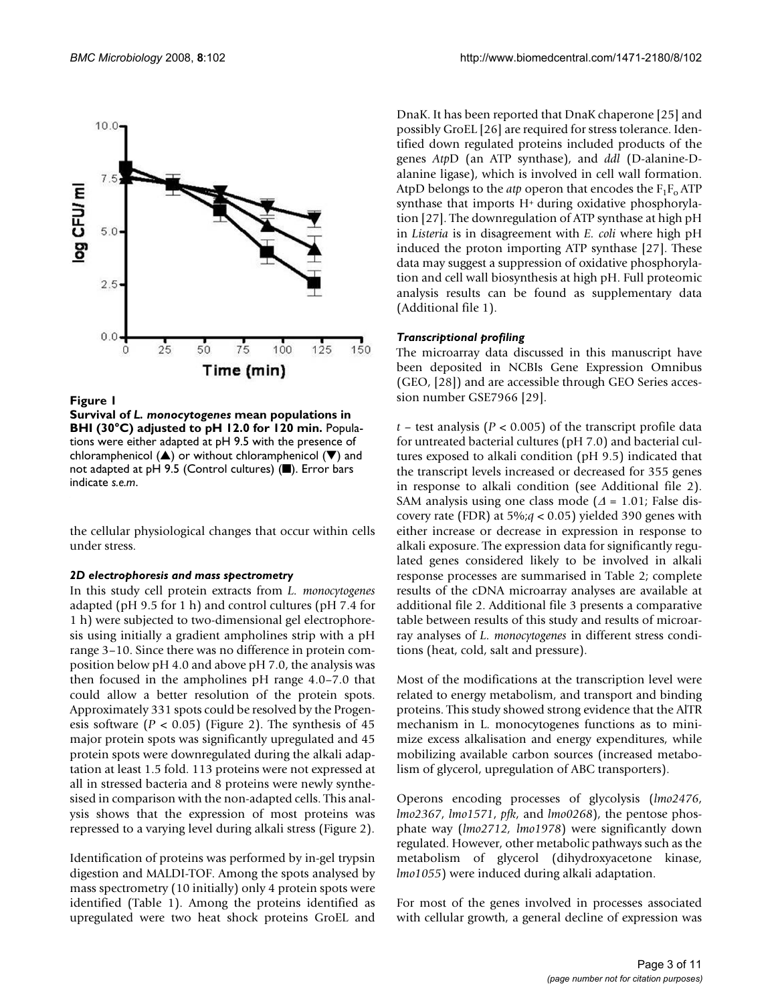

#### Figure 1

**Survival of** *L. monocytogenes* **mean populations in BHI (30°C) adjusted to pH 12.0 for 120 min.** Populations were either adapted at pH 9.5 with the presence of chloramphenicol ( $\triangle$ ) or without chloramphenicol ( $\nabla$ ) and not adapted at pH 9.5 (Control cultures)  $(\blacksquare)$ . Error bars indicate *s.e.m*.

the cellular physiological changes that occur within cells under stress.

#### *2D electrophoresis and mass spectrometry*

In this study cell protein extracts from *L. monocytogenes* adapted (pH 9.5 for 1 h) and control cultures (pH 7.4 for 1 h) were subjected to two-dimensional gel electrophoresis using initially a gradient ampholines strip with a pH range 3–10. Since there was no difference in protein composition below pH 4.0 and above pH 7.0, the analysis was then focused in the ampholines pH range 4.0–7.0 that could allow a better resolution of the protein spots. Approximately 331 spots could be resolved by the Progenesis software  $(P < 0.05)$  (Figure 2). The synthesis of 45 major protein spots was significantly upregulated and 45 protein spots were downregulated during the alkali adaptation at least 1.5 fold. 113 proteins were not expressed at all in stressed bacteria and 8 proteins were newly synthesised in comparison with the non-adapted cells. This analysis shows that the expression of most proteins was repressed to a varying level during alkali stress (Figure 2).

Identification of proteins was performed by in-gel trypsin digestion and MALDI-TOF. Among the spots analysed by mass spectrometry (10 initially) only 4 protein spots were identified (Table 1). Among the proteins identified as upregulated were two heat shock proteins GroEL and

DnaK. It has been reported that DnaK chaperone [25] and possibly GroEL [26] are required for stress tolerance. Identified down regulated proteins included products of the genes *Atp*D (an ATP synthase), and *ddl* (D-alanine-Dalanine ligase), which is involved in cell wall formation. AtpD belongs to the *atp* operon that encodes the  $F_1F_0$  ATP synthase that imports H+ during oxidative phosphorylation [27]. The downregulation of ATP synthase at high pH in *Listeria* is in disagreement with *E. coli* where high pH induced the proton importing ATP synthase [27]. These data may suggest a suppression of oxidative phosphorylation and cell wall biosynthesis at high pH. Full proteomic analysis results can be found as supplementary data (Additional file 1).

#### *Transcriptional profiling*

The microarray data discussed in this manuscript have been deposited in NCBIs Gene Expression Omnibus (GEO, [28]) and are accessible through GEO Series accession number GSE7966 [29].

 $t$  – test analysis ( $P < 0.005$ ) of the transcript profile data for untreated bacterial cultures (pH 7.0) and bacterial cultures exposed to alkali condition (pH 9.5) indicated that the transcript levels increased or decreased for 355 genes in response to alkali condition (see Additional file 2). SAM analysis using one class mode ( $\Delta$  = 1.01; False discovery rate (FDR) at 5%;*q* < 0.05) yielded 390 genes with either increase or decrease in expression in response to alkali exposure. The expression data for significantly regulated genes considered likely to be involved in alkali response processes are summarised in Table 2; complete results of the cDNA microarray analyses are available at additional file 2. Additional file 3 presents a comparative table between results of this study and results of microarray analyses of *L. monocytogenes* in different stress conditions (heat, cold, salt and pressure).

Most of the modifications at the transcription level were related to energy metabolism, and transport and binding proteins. This study showed strong evidence that the AlTR mechanism in L. monocytogenes functions as to minimize excess alkalisation and energy expenditures, while mobilizing available carbon sources (increased metabolism of glycerol, upregulation of ABC transporters).

Operons encoding processes of glycolysis (*lmo2476*, *lmo2367*, *lmo1571*, *pfk*, and *lmo0268*), the pentose phosphate way (*lmo2712, lmo1978*) were significantly down regulated. However, other metabolic pathways such as the metabolism of glycerol (dihydroxyacetone kinase, *lmo1055*) were induced during alkali adaptation.

For most of the genes involved in processes associated with cellular growth, a general decline of expression was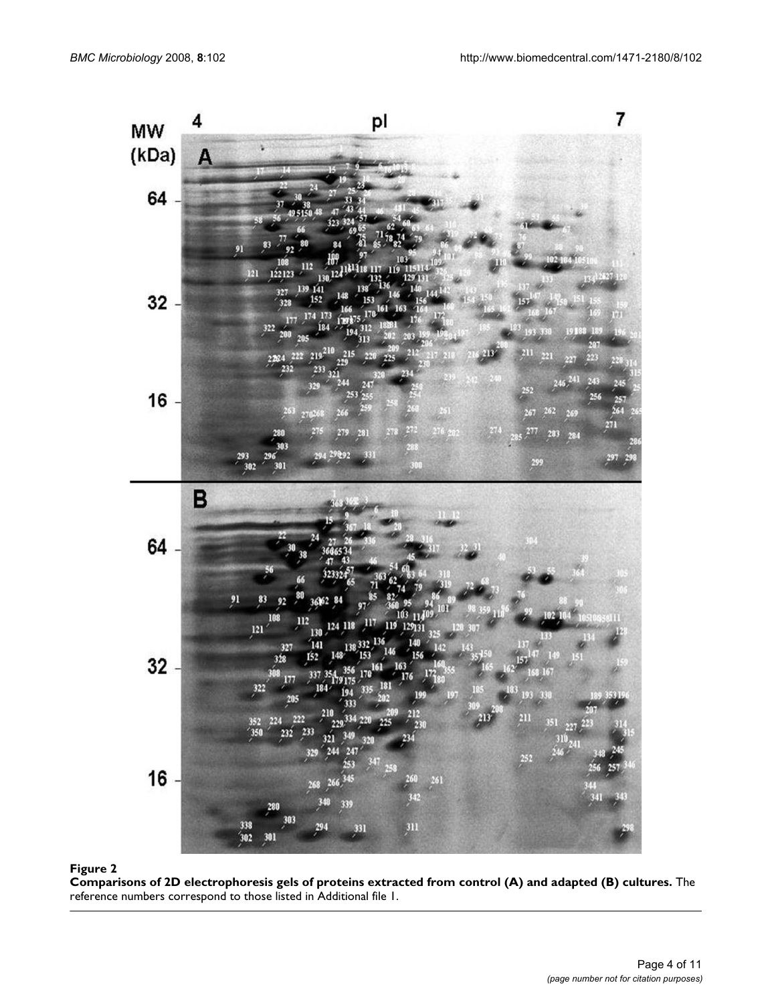

**Comparisons of 2D electrophoresis gels of proteins extracted from control (A) and adapted (B) cultures.** The reference numbers correspond to those listed in Additional file 1.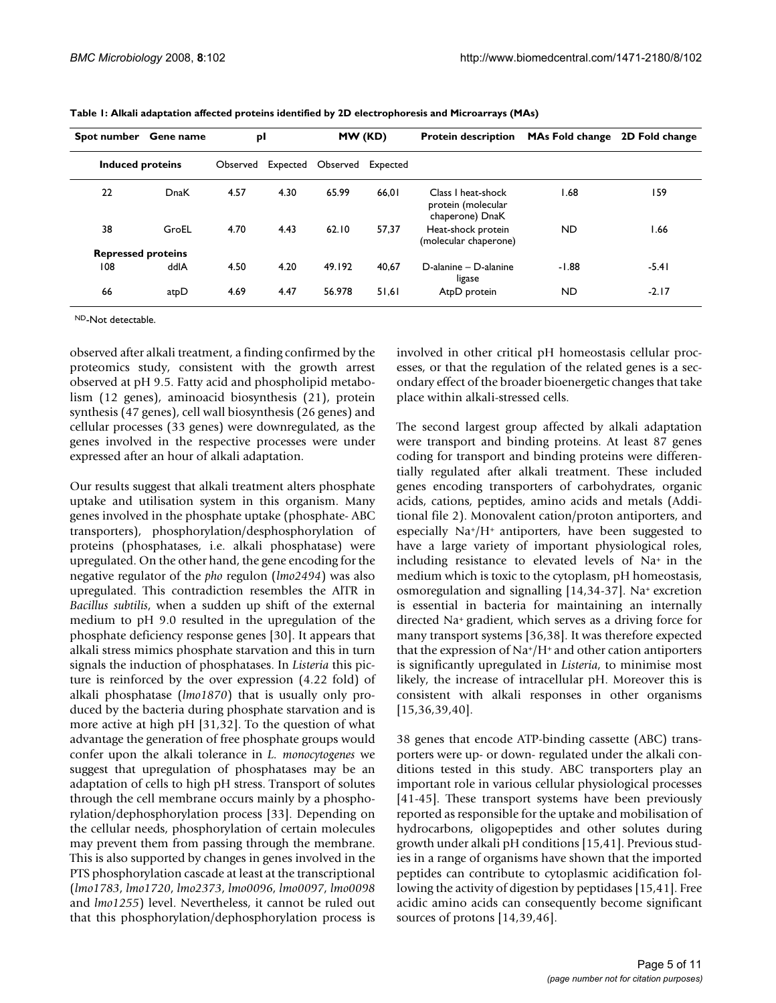| Spot number               | <b>Gene name</b> | pl       |      | MW (KD)           |          | <b>Protein description</b>                                  | MAs Fold change 2D Fold change |         |
|---------------------------|------------------|----------|------|-------------------|----------|-------------------------------------------------------------|--------------------------------|---------|
| Induced proteins          |                  | Observed |      | Expected Observed | Expected |                                                             |                                |         |
| 22                        | DnaK             | 4.57     | 4.30 | 65.99             | 66.01    | Class I heat-shock<br>protein (molecular<br>chaperone) DnaK | 68. ا                          | 159     |
| 38                        | GroEL            | 4.70     | 4.43 | 62.10             | 57.37    | Heat-shock protein<br>(molecular chaperone)                 | <b>ND</b>                      | 1.66    |
| <b>Repressed proteins</b> |                  |          |      |                   |          |                                                             |                                |         |
| 108                       | ddlA             | 4.50     | 4.20 | 49.192            | 40.67    | D-alanine - D-alanine<br>ligase                             | $-1.88$                        | $-5.41$ |
| 66                        | atpD             | 4.69     | 4.47 | 56.978            | 51.61    | AtpD protein                                                | <b>ND</b>                      | $-2.17$ |

**Table 1: Alkali adaptation affected proteins identified by 2D electrophoresis and Microarrays (MAs)**

ND-Not detectable.

observed after alkali treatment, a finding confirmed by the proteomics study, consistent with the growth arrest observed at pH 9.5. Fatty acid and phospholipid metabolism (12 genes), aminoacid biosynthesis (21), protein synthesis (47 genes), cell wall biosynthesis (26 genes) and cellular processes (33 genes) were downregulated, as the genes involved in the respective processes were under expressed after an hour of alkali adaptation.

Our results suggest that alkali treatment alters phosphate uptake and utilisation system in this organism. Many genes involved in the phosphate uptake (phosphate- ABC transporters), phosphorylation/desphosphorylation of proteins (phosphatases, i.e. alkali phosphatase) were upregulated. On the other hand, the gene encoding for the negative regulator of the *pho* regulon (*lmo2494*) was also upregulated. This contradiction resembles the AlTR in *Bacillus subtilis*, when a sudden up shift of the external medium to pH 9.0 resulted in the upregulation of the phosphate deficiency response genes [30]. It appears that alkali stress mimics phosphate starvation and this in turn signals the induction of phosphatases. In *Listeria* this picture is reinforced by the over expression (4.22 fold) of alkali phosphatase (*lmo1870*) that is usually only produced by the bacteria during phosphate starvation and is more active at high pH [31,32]. To the question of what advantage the generation of free phosphate groups would confer upon the alkali tolerance in *L. monocytogenes* we suggest that upregulation of phosphatases may be an adaptation of cells to high pH stress. Transport of solutes through the cell membrane occurs mainly by a phosphorylation/dephosphorylation process [33]. Depending on the cellular needs, phosphorylation of certain molecules may prevent them from passing through the membrane. This is also supported by changes in genes involved in the PTS phosphorylation cascade at least at the transcriptional (*lmo1783*, *lmo1720*, *lmo2373*, *lmo0096*, *lmo0097*, *lmo0098* and *lmo1255*) level. Nevertheless, it cannot be ruled out that this phosphorylation/dephosphorylation process is involved in other critical pH homeostasis cellular processes, or that the regulation of the related genes is a secondary effect of the broader bioenergetic changes that take place within alkali-stressed cells.

The second largest group affected by alkali adaptation were transport and binding proteins. At least 87 genes coding for transport and binding proteins were differentially regulated after alkali treatment. These included genes encoding transporters of carbohydrates, organic acids, cations, peptides, amino acids and metals (Additional file 2). Monovalent cation/proton antiporters, and especially Na+/H+ antiporters, have been suggested to have a large variety of important physiological roles, including resistance to elevated levels of Na+ in the medium which is toxic to the cytoplasm, pH homeostasis, osmoregulation and signalling [14[,34](#page-9-1)-37]. Na+ excretion is essential in bacteria for maintaining an internally directed Na+ gradient, which serves as a driving force for many transport systems [36,38]. It was therefore expected that the expression of  $Na<sup>+</sup>/H<sup>+</sup>$  and other cation antiporters is significantly upregulated in *Listeria*, to minimise most likely, the increase of intracellular pH. Moreover this is consistent with alkali responses in other organisms [15,36,39,40].

38 genes that encode ATP-binding cassette (ABC) transporters were up- or down- regulated under the alkali conditions tested in this study. ABC transporters play an important role in various cellular physiological processes [41-45]. These transport systems have been previously reported as responsible for the uptake and mobilisation of hydrocarbons, oligopeptides and other solutes during growth under alkali pH conditions [15,41]. Previous studies in a range of organisms have shown that the imported peptides can contribute to cytoplasmic acidification following the activity of digestion by peptidases [15,41]. Free acidic amino acids can consequently become significant sources of protons [14,39,46].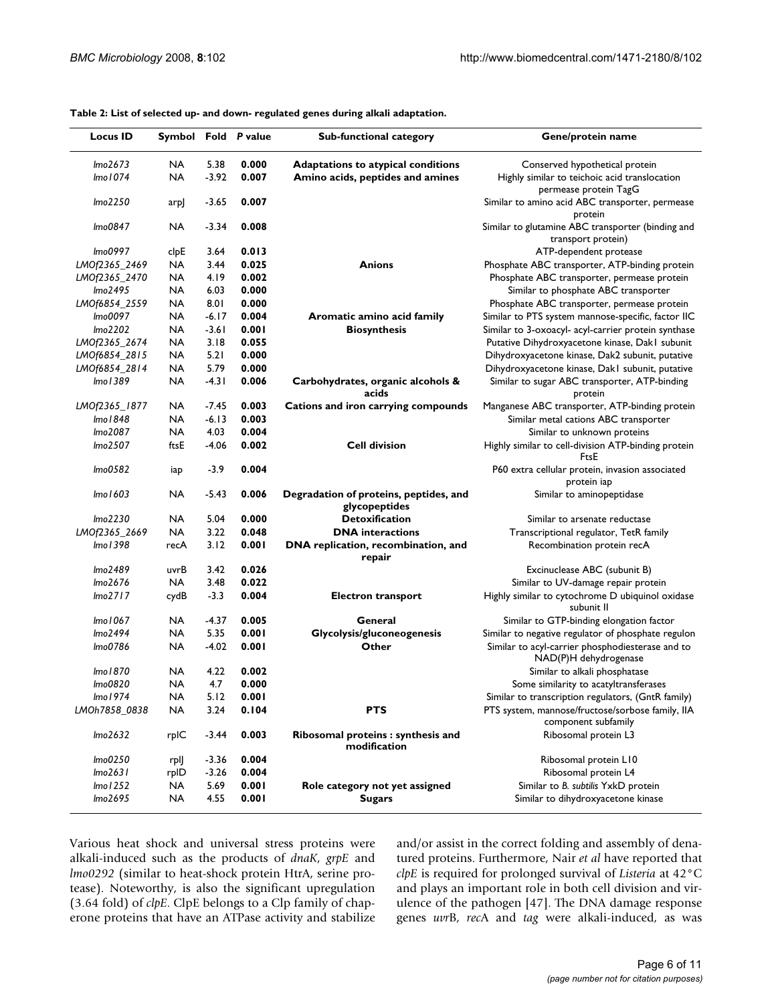| <b>Locus ID</b> | Symbol Fold P value |         |       | <b>Sub-functional category</b>                          | Gene/protein name                                                         |  |
|-----------------|---------------------|---------|-------|---------------------------------------------------------|---------------------------------------------------------------------------|--|
| Imo2673         | <b>NA</b>           | 5.38    | 0.000 | Adaptations to atypical conditions                      | Conserved hypothetical protein                                            |  |
| Imo1074         | NA                  | $-3.92$ | 0.007 | Amino acids, peptides and amines                        | Highly similar to teichoic acid translocation<br>permease protein TagG    |  |
| Imo2250         | arp                 | $-3.65$ | 0.007 |                                                         | Similar to amino acid ABC transporter, permease<br>protein                |  |
| lmo0847         | NA                  | $-3.34$ | 0.008 |                                                         | Similar to glutamine ABC transporter (binding and<br>transport protein)   |  |
| Imo0997         | clpE                | 3.64    | 0.013 |                                                         | ATP-dependent protease                                                    |  |
| LMOf2365_2469   | NA                  | 3.44    | 0.025 | <b>Anions</b>                                           | Phosphate ABC transporter, ATP-binding protein                            |  |
| LMOf2365_2470   | NA                  | 4.I9    | 0.002 |                                                         | Phosphate ABC transporter, permease protein                               |  |
| lmo2495         | NA                  | 6.03    | 0.000 |                                                         | Similar to phosphate ABC transporter                                      |  |
| LMOf6854_2559   | NA                  | 8.01    | 0.000 |                                                         | Phosphate ABC transporter, permease protein                               |  |
| Imo0097         | NA                  | $-6.17$ | 0.004 | Aromatic amino acid family                              | Similar to PTS system mannose-specific, factor IIC                        |  |
| lmo2202         | NA                  | $-3.61$ | 0.001 | <b>Biosynthesis</b>                                     | Similar to 3-oxoacyl- acyl-carrier protein synthase                       |  |
| LMOf2365_2674   | NA                  | 3.18    | 0.055 |                                                         | Putative Dihydroxyacetone kinase, Dakl subunit                            |  |
| LMOf6854_2815   | NA                  | 5.21    | 0.000 |                                                         | Dihydroxyacetone kinase, Dak2 subunit, putative                           |  |
| LMOf6854_2814   | NA                  | 5.79    | 0.000 |                                                         | Dihydroxyacetone kinase, Dakl subunit, putative                           |  |
| lmo 1389        | NA                  | $-4.31$ | 0.006 | Carbohydrates, organic alcohols &<br>acids              | Similar to sugar ABC transporter, ATP-binding<br>protein                  |  |
| LMOf2365_1877   | NA                  | -7.45   | 0.003 | Cations and iron carrying compounds                     | Manganese ABC transporter, ATP-binding protein                            |  |
| lmo 1848        | NA                  | $-6.13$ | 0.003 |                                                         | Similar metal cations ABC transporter                                     |  |
| lmo2087         | NA                  | 4.03    | 0.004 |                                                         | Similar to unknown proteins                                               |  |
| Imo2507         | ftsE                | $-4.06$ | 0.002 | <b>Cell division</b>                                    | Highly similar to cell-division ATP-binding protein<br>FtsE               |  |
| Imo0582         | iap                 | $-3.9$  | 0.004 |                                                         | P60 extra cellular protein, invasion associated<br>protein iap            |  |
| lmo 1603        | NA                  | $-5.43$ | 0.006 | Degradation of proteins, peptides, and<br>glycopeptides | Similar to aminopeptidase                                                 |  |
| lmo2230         | NA                  | 5.04    | 0.000 | <b>Detoxification</b>                                   | Similar to arsenate reductase                                             |  |
| LMOf2365_2669   | NA                  | 3.22    | 0.048 | <b>DNA</b> interactions                                 | Transcriptional regulator, TetR family                                    |  |
| lmo 1398        | recA                | 3.12    | 0.001 | DNA replication, recombination, and<br>repair           | Recombination protein recA                                                |  |
| lmo2489         | uvrB                | 3.42    | 0.026 |                                                         | Excinuclease ABC (subunit B)                                              |  |
| lmo2676         | <b>NA</b>           | 3.48    | 0.022 |                                                         | Similar to UV-damage repair protein                                       |  |
| Imo2717         | cydB                | $-3.3$  | 0.004 | <b>Electron transport</b>                               | Highly similar to cytochrome D ubiquinol oxidase<br>subunit II            |  |
| Imo 1067        | <b>NA</b>           | $-4.37$ | 0.005 | General                                                 | Similar to GTP-binding elongation factor                                  |  |
| Imo2494         | NA                  | 5.35    | 0.001 | Glycolysis/gluconeogenesis                              | Similar to negative regulator of phosphate regulon                        |  |
| Imo0786         | NA                  | $-4.02$ | 0.001 | Other                                                   | Similar to acyl-carrier phosphodiesterase and to<br>NAD(P)H dehydrogenase |  |
| lmo 1870        | NA                  | 4.22    | 0.002 |                                                         | Similar to alkali phosphatase                                             |  |
| lmo0820         | NA                  | 4.7     | 0.000 |                                                         | Some similarity to acatyltransferases                                     |  |
| Imo 1974        | <b>NA</b>           | 5.12    | 0.001 |                                                         | Similar to transcription regulators, (GntR family)                        |  |
| LMOh7858_0838   | <b>NA</b>           | 3.24    | 0.104 | <b>PTS</b>                                              | PTS system, mannose/fructose/sorbose family, IIA<br>component subfamily   |  |
| Imo2632         | rpIC                | $-3.44$ | 0.003 | Ribosomal proteins : synthesis and<br>modification      | Ribosomal protein L3                                                      |  |
| lmo0250         | rplj                | $-3.36$ | 0.004 |                                                         | Ribosomal protein L10                                                     |  |
| Imo2631         | rpID                | $-3.26$ | 0.004 |                                                         | Ribosomal protein L4                                                      |  |
| Imol252         | NA                  | 5.69    | 0.001 | Role category not yet assigned                          | Similar to B. subtilis YxkD protein                                       |  |
| lmo2695         | NA                  | 4.55    | 0.001 | <b>Sugars</b>                                           | Similar to dihydroxyacetone kinase                                        |  |

**Table 2: List of selected up- and down- regulated genes during alkali adaptation.**

Various heat shock and universal stress proteins were alkali-induced such as the products of *dnaK*, *grpE* and *lmo0292* (similar to heat-shock protein HtrA, serine protease). Noteworthy, is also the significant upregulation (3.64 fold) of *clpE*. ClpE belongs to a Clp family of chaperone proteins that have an ATPase activity and stabilize and/or assist in the correct folding and assembly of denatured proteins. Furthermore, Nair *et al* have reported that *clpE* is required for prolonged survival of *Listeria* at 42°C and plays an important role in both cell division and virulence of the pathogen [47]. The DNA damage response genes *uvr*B, *rec*A and *tag* were alkali-induced, as was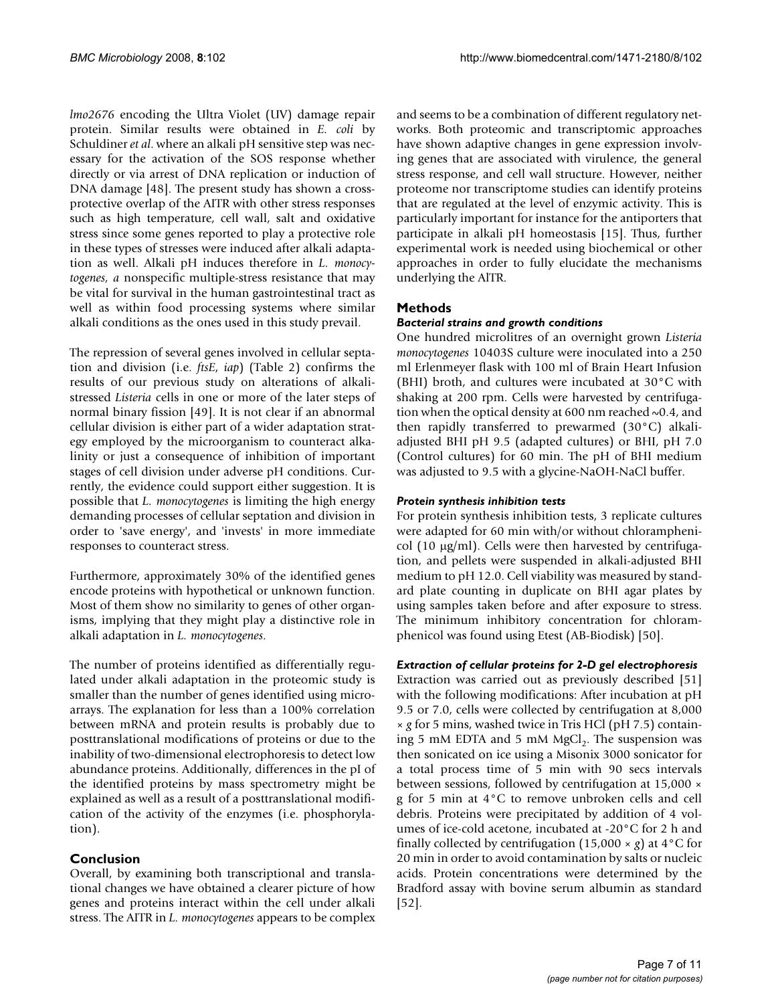*lmo2676* encoding the Ultra Violet (UV) damage repair protein. Similar results were obtained in *E. coli* by Schuldiner *et al*. where an alkali pH sensitive step was necessary for the activation of the SOS response whether directly or via arrest of DNA replication or induction of DNA damage [48]. The present study has shown a crossprotective overlap of the AITR with other stress responses such as high temperature, cell wall, salt and oxidative stress since some genes reported to play a protective role in these types of stresses were induced after alkali adaptation as well. Alkali pH induces therefore in *L. monocytogenes, a* nonspecific multiple-stress resistance that may be vital for survival in the human gastrointestinal tract as well as within food processing systems where similar alkali conditions as the ones used in this study prevail.

The repression of several genes involved in cellular septation and division (i.e. *ftsE*, *iap*) (Table 2) confirms the results of our previous study on alterations of alkalistressed *Listeria* cells in one or more of the later steps of normal binary fission [49]. It is not clear if an abnormal cellular division is either part of a wider adaptation strategy employed by the microorganism to counteract alkalinity or just a consequence of inhibition of important stages of cell division under adverse pH conditions. Currently, the evidence could support either suggestion. It is possible that *L. monocytogenes* is limiting the high energy demanding processes of cellular septation and division in order to 'save energy', and 'invests' in more immediate responses to counteract stress.

Furthermore, approximately 30% of the identified genes encode proteins with hypothetical or unknown function. Most of them show no similarity to genes of other organisms, implying that they might play a distinctive role in alkali adaptation in *L. monocytogenes*.

The number of proteins identified as differentially regulated under alkali adaptation in the proteomic study is smaller than the number of genes identified using microarrays. The explanation for less than a 100% correlation between mRNA and protein results is probably due to posttranslational modifications of proteins or due to the inability of two-dimensional electrophoresis to detect low abundance proteins. Additionally, differences in the pI of the identified proteins by mass spectrometry might be explained as well as a result of a posttranslational modification of the activity of the enzymes (i.e. phosphorylation).

#### **Conclusion**

Overall, by examining both transcriptional and translational changes we have obtained a clearer picture of how genes and proteins interact within the cell under alkali stress. The AITR in *L. monocytogenes* appears to be complex

and seems to be a combination of different regulatory networks. Both proteomic and transcriptomic approaches have shown adaptive changes in gene expression involving genes that are associated with virulence, the general stress response, and cell wall structure. However, neither proteome nor transcriptome studies can identify proteins that are regulated at the level of enzymic activity. This is particularly important for instance for the antiporters that participate in alkali pH homeostasis [15]. Thus, further experimental work is needed using biochemical or other approaches in order to fully elucidate the mechanisms underlying the AlTR.

#### **Methods**

#### *Bacterial strains and growth conditions*

One hundred microlitres of an overnight grown *Listeria monocytogenes* 10403S culture were inoculated into a 250 ml Erlenmeyer flask with 100 ml of Brain Heart Infusion (BHI) broth, and cultures were incubated at 30°C with shaking at 200 rpm. Cells were harvested by centrifugation when the optical density at 600 nm reached  $\sim 0.4$ , and then rapidly transferred to prewarmed (30°C) alkaliadjusted BHI pH 9.5 (adapted cultures) or BHI, pH 7.0 (Control cultures) for 60 min. The pH of BHI medium was adjusted to 9.5 with a glycine-NaOH-NaCl buffer.

#### *Protein synthesis inhibition tests*

For protein synthesis inhibition tests, 3 replicate cultures were adapted for 60 min with/or without chloramphenicol (10 μg/ml). Cells were then harvested by centrifugation, and pellets were suspended in alkali-adjusted BHI medium to pH 12.0. Cell viability was measured by standard plate counting in duplicate on BHI agar plates by using samples taken before and after exposure to stress. The minimum inhibitory concentration for chloramphenicol was found using Etest (AB-Biodisk) [50].

#### *Extraction of cellular proteins for 2-D gel electrophoresis*

Extraction was carried out as previously described [51] with the following modifications: After incubation at pH 9.5 or 7.0, cells were collected by centrifugation at 8,000 × *g* for 5 mins, washed twice in Tris HCl (pH 7.5) containing 5 mM EDTA and 5 mM  $MgCl<sub>2</sub>$ . The suspension was then sonicated on ice using a Misonix 3000 sonicator for a total process time of 5 min with 90 secs intervals between sessions, followed by centrifugation at 15,000 × g for 5 min at 4°C to remove unbroken cells and cell debris. Proteins were precipitated by addition of 4 volumes of ice-cold acetone, incubated at -20°C for 2 h and finally collected by centrifugation  $(15,000 \times g)$  at  $4^{\circ}$ C for 20 min in order to avoid contamination by salts or nucleic acids. Protein concentrations were determined by the Bradford assay with bovine serum albumin as standard [52].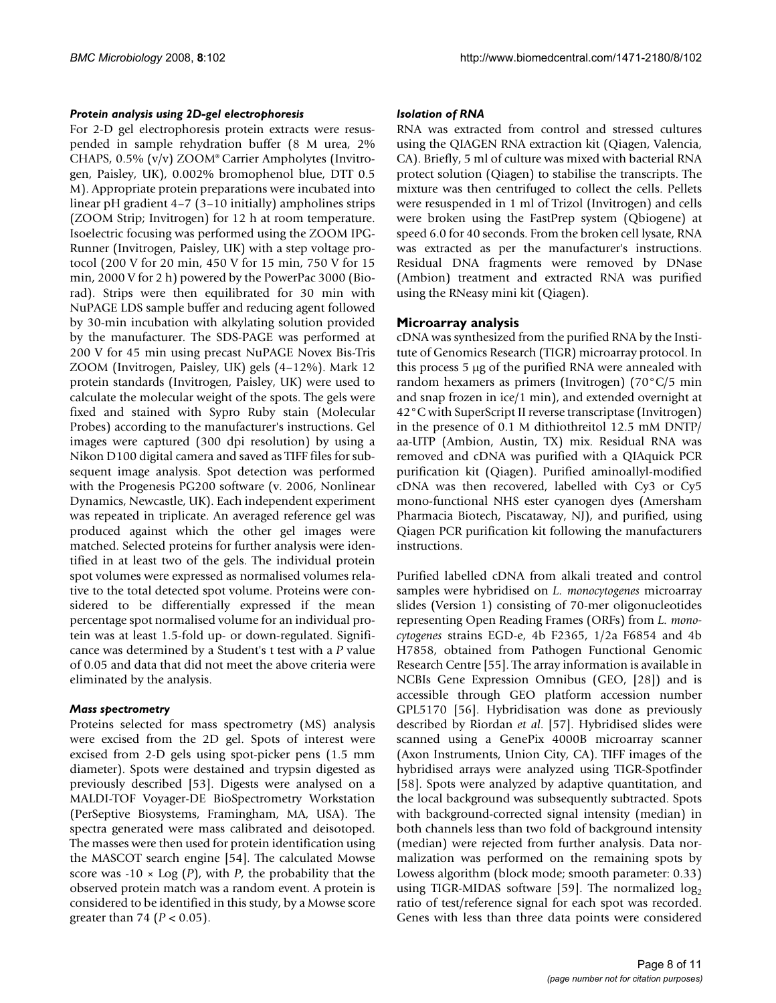#### *Protein analysis using 2D-gel electrophoresis*

For 2-D gel electrophoresis protein extracts were resuspended in sample rehydration buffer (8 M urea, 2% CHAPS, 0.5% (v/v) ZOOM® Carrier Ampholytes (Invitrogen, Paisley, UK), 0.002% bromophenol blue, DTT 0.5 M). Appropriate protein preparations were incubated into linear pH gradient 4–7 (3–10 initially) ampholines strips (ZOOM Strip; Invitrogen) for 12 h at room temperature. Isoelectric focusing was performed using the ZOOM IPG-Runner (Invitrogen, Paisley, UK) with a step voltage protocol (200 V for 20 min, 450 V for 15 min, 750 V for 15 min, 2000 V for 2 h) powered by the PowerPac 3000 (Biorad). Strips were then equilibrated for 30 min with NuPAGE LDS sample buffer and reducing agent followed by 30-min incubation with alkylating solution provided by the manufacturer. The SDS-PAGE was performed at 200 V for 45 min using precast NuPAGE Novex Bis-Tris ZOOM (Invitrogen, Paisley, UK) gels (4–12%). Mark 12 protein standards (Invitrogen, Paisley, UK) were used to calculate the molecular weight of the spots. The gels were fixed and stained with Sypro Ruby stain (Molecular Probes) according to the manufacturer's instructions. Gel images were captured (300 dpi resolution) by using a Nikon D100 digital camera and saved as TIFF files for subsequent image analysis. Spot detection was performed with the Progenesis PG200 software (v. 2006, Nonlinear Dynamics, Newcastle, UK). Each independent experiment was repeated in triplicate. An averaged reference gel was produced against which the other gel images were matched. Selected proteins for further analysis were identified in at least two of the gels. The individual protein spot volumes were expressed as normalised volumes relative to the total detected spot volume. Proteins were considered to be differentially expressed if the mean percentage spot normalised volume for an individual protein was at least 1.5-fold up- or down-regulated. Significance was determined by a Student's t test with a *P* value of 0.05 and data that did not meet the above criteria were eliminated by the analysis.

#### *Mass spectrometry*

Proteins selected for mass spectrometry (MS) analysis were excised from the 2D gel. Spots of interest were excised from 2-D gels using spot-picker pens (1.5 mm diameter). Spots were destained and trypsin digested as previously described [53]. Digests were analysed on a MALDI-TOF Voyager-DE BioSpectrometry Workstation (PerSeptive Biosystems, Framingham, MA, USA). The spectra generated were mass calibrated and deisotoped. The masses were then used for protein identification using the MASCOT search engine [54]. The calculated Mowse score was  $-10 \times \text{Log}(P)$ , with *P*, the probability that the observed protein match was a random event. A protein is considered to be identified in this study, by a Mowse score greater than 74 (*P* < 0.05).

#### *Isolation of RNA*

RNA was extracted from control and stressed cultures using the QIAGEN RNA extraction kit (Qiagen, Valencia, CA). Briefly, 5 ml of culture was mixed with bacterial RNA protect solution (Qiagen) to stabilise the transcripts. The mixture was then centrifuged to collect the cells. Pellets were resuspended in 1 ml of Trizol (Invitrogen) and cells were broken using the FastPrep system (Qbiogene) at speed 6.0 for 40 seconds. From the broken cell lysate, RNA was extracted as per the manufacturer's instructions. Residual DNA fragments were removed by DNase (Ambion) treatment and extracted RNA was purified using the RNeasy mini kit (Qiagen).

#### **Microarray analysis**

cDNA was synthesized from the purified RNA by the Institute of Genomics Research (TIGR) microarray protocol. In this process 5 μg of the purified RNA were annealed with random hexamers as primers (Invitrogen) (70°C/5 min and snap frozen in ice/1 min), and extended overnight at 42°C with SuperScript II reverse transcriptase (Invitrogen) in the presence of 0.1 M dithiothreitol 12.5 mM DNTP/ aa-UTP (Ambion, Austin, TX) mix. Residual RNA was removed and cDNA was purified with a QIAquick PCR purification kit (Qiagen). Purified aminoallyl-modified cDNA was then recovered, labelled with Cy3 or Cy5 mono-functional NHS ester cyanogen dyes (Amersham Pharmacia Biotech, Piscataway, NJ), and purified, using Qiagen PCR purification kit following the manufacturers instructions.

Purified labelled cDNA from alkali treated and control samples were hybridised on *L. monocytogenes* microarray slides (Version 1) consisting of 70-mer oligonucleotides representing Open Reading Frames (ORFs) from *L. monocytogenes* strains EGD-e, 4b F2365, 1/2a F6854 and 4b H7858, obtained from Pathogen Functional Genomic Research Centre [55]. The array information is available in NCBIs Gene Expression Omnibus (GEO, [28]) and is accessible through GEO platform accession number GPL5170 [56]. Hybridisation was done as previously described by Riordan *et al*. [57]. Hybridised slides were scanned using a GenePix 4000B microarray scanner (Axon Instruments, Union City, CA). TIFF images of the hybridised arrays were analyzed using TIGR-Spotfinder [58]. Spots were analyzed by adaptive quantitation, and the local background was subsequently subtracted. Spots with background-corrected signal intensity (median) in both channels less than two fold of background intensity (median) were rejected from further analysis. Data normalization was performed on the remaining spots by Lowess algorithm (block mode; smooth parameter: 0.33) using TIGR-MIDAS software [59]. The normalized  $log<sub>2</sub>$ ratio of test/reference signal for each spot was recorded. Genes with less than three data points were considered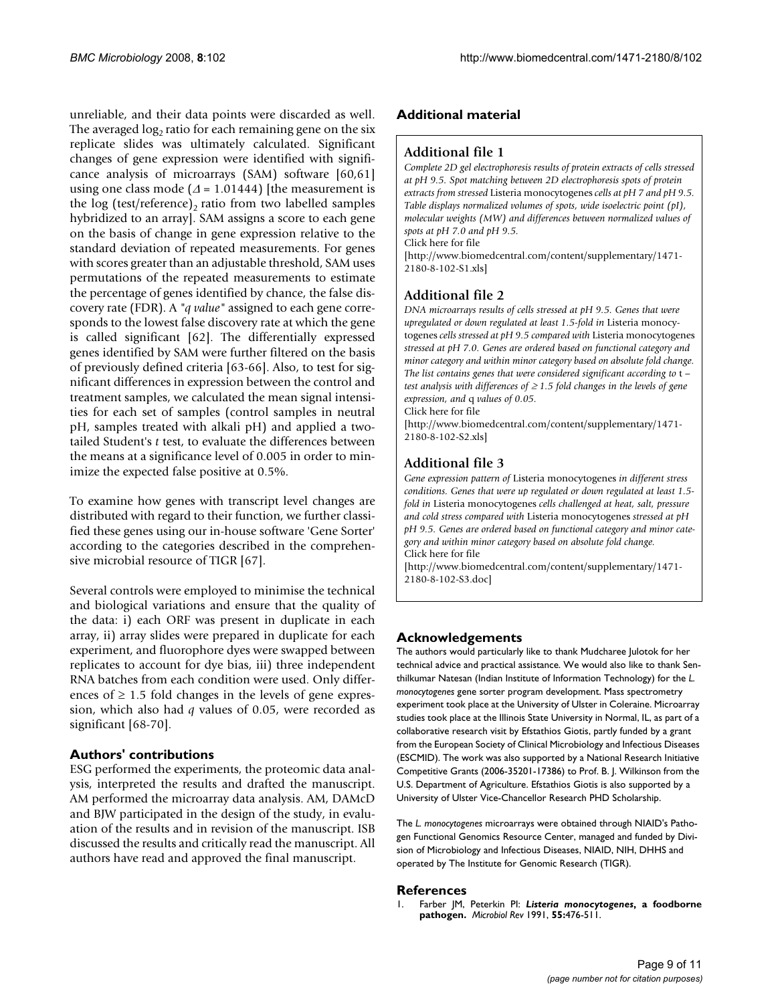unreliable, and their data points were discarded as well. The averaged  $log<sub>2</sub>$  ratio for each remaining gene on the six replicate slides was ultimately calculated. Significant changes of gene expression were identified with significance analysis of microarrays (SAM) software [60,61] using one class mode ( $\Delta$  = 1.01444) [the measurement is the log (test/reference), ratio from two labelled samples hybridized to an array]. SAM assigns a score to each gene on the basis of change in gene expression relative to the standard deviation of repeated measurements. For genes with scores greater than an adjustable threshold, SAM uses permutations of the repeated measurements to estimate the percentage of genes identified by chance, the false discovery rate (FDR). A *"q value"* assigned to each gene corresponds to the lowest false discovery rate at which the gene is called significant [62]. The differentially expressed genes identified by SAM were further filtered on the basis of previously defined criteria [63-66]. Also, to test for significant differences in expression between the control and treatment samples, we calculated the mean signal intensities for each set of samples (control samples in neutral pH, samples treated with alkali pH) and applied a twotailed Student's *t* test, to evaluate the differences between the means at a significance level of 0.005 in order to minimize the expected false positive at 0.5%.

To examine how genes with transcript level changes are distributed with regard to their function, we further classified these genes using our in-house software 'Gene Sorter' according to the categories described in the comprehensive microbial resource of TIGR [67].

Several controls were employed to minimise the technical and biological variations and ensure that the quality of the data: i) each ORF was present in duplicate in each array, ii) array slides were prepared in duplicate for each experiment, and fluorophore dyes were swapped between replicates to account for dye bias, iii) three independent RNA batches from each condition were used. Only differences of  $\geq 1.5$  fold changes in the levels of gene expression, which also had *q* values of 0.05, were recorded as significant [68-70].

#### **Authors' contributions**

ESG performed the experiments, the proteomic data analysis, interpreted the results and drafted the manuscript. AM performed the microarray data analysis. AM, DAMcD and BJW participated in the design of the study, in evaluation of the results and in revision of the manuscript. ISB discussed the results and critically read the manuscript. All authors have read and approved the final manuscript.

#### **Additional material**

#### **Additional file 1**

*Complete 2D gel electrophoresis results of protein extracts of cells stressed at pH 9.5. Spot matching between 2D electrophoresis spots of protein extracts from stressed* Listeria monocytogenes *cells at pH 7 and pH 9.5. Table displays normalized volumes of spots, wide isoelectric point (pI), molecular weights (MW) and differences between normalized values of spots at pH 7.0 and pH 9.5.*

Click here for file

[\[http://www.biomedcentral.com/content/supplementary/1471-](http://www.biomedcentral.com/content/supplementary/1471-2180-8-102-S1.xls) 2180-8-102-S1.xls]

### **Additional file 2**

*DNA microarrays results of cells stressed at pH 9.5. Genes that were upregulated or down regulated at least 1.5-fold in* Listeria monocytogenes *cells stressed at pH 9.5 compared with* Listeria monocytogenes *stressed at pH 7.0. Genes are ordered based on functional category and minor category and within minor category based on absolute fold change. The list contains genes that were considered significant according to* t *– test analysis with differences of* ≥ *1.5 fold changes in the levels of gene expression, and* q *values of 0.05.*

Click here for file

[\[http://www.biomedcentral.com/content/supplementary/1471-](http://www.biomedcentral.com/content/supplementary/1471-2180-8-102-S2.xls) 2180-8-102-S2.xls]

### **Additional file 3**

*Gene expression pattern of* Listeria monocytogenes *in different stress conditions. Genes that were up regulated or down regulated at least 1.5 fold in* Listeria monocytogenes *cells challenged at heat, salt, pressure and cold stress compared with* Listeria monocytogenes *stressed at pH pH 9.5. Genes are ordered based on functional category and minor category and within minor category based on absolute fold change.* Click here for file

[\[http://www.biomedcentral.com/content/supplementary/1471-](http://www.biomedcentral.com/content/supplementary/1471-2180-8-102-S3.doc) 2180-8-102-S3.doc]

#### **Acknowledgements**

The authors would particularly like to thank Mudcharee Julotok for her technical advice and practical assistance. We would also like to thank Senthilkumar Natesan (Indian Institute of Information Technology) for the *L. monocytogenes* gene sorter program development. Mass spectrometry experiment took place at the University of Ulster in Coleraine. Microarray studies took place at the Illinois State University in Normal, IL, as part of a collaborative research visit by Efstathios Giotis, partly funded by a grant from the European Society of Clinical Microbiology and Infectious Diseases (ESCMID). The work was also supported by a National Research Initiative Competitive Grants (2006-35201-17386) to Prof. B. J. Wilkinson from the U.S. Department of Agriculture. Efstathios Giotis is also supported by a University of Ulster Vice-Chancellor Research PHD Scholarship.

The *L. monocytogenes* microarrays were obtained through NIAID's Pathogen Functional Genomics Resource Center, managed and funded by Division of Microbiology and Infectious Diseases, NIAID, NIH, DHHS and operated by The Institute for Genomic Research (TIGR).

#### **References**

1. Farber JM, Peterkin PI: *Listeria monocytogenes***[, a foodborne](http://www.ncbi.nlm.nih.gov/entrez/query.fcgi?cmd=Retrieve&db=PubMed&dopt=Abstract&list_uids=1943998) [pathogen.](http://www.ncbi.nlm.nih.gov/entrez/query.fcgi?cmd=Retrieve&db=PubMed&dopt=Abstract&list_uids=1943998)** *Microbiol Rev* 1991, **55:**476-511.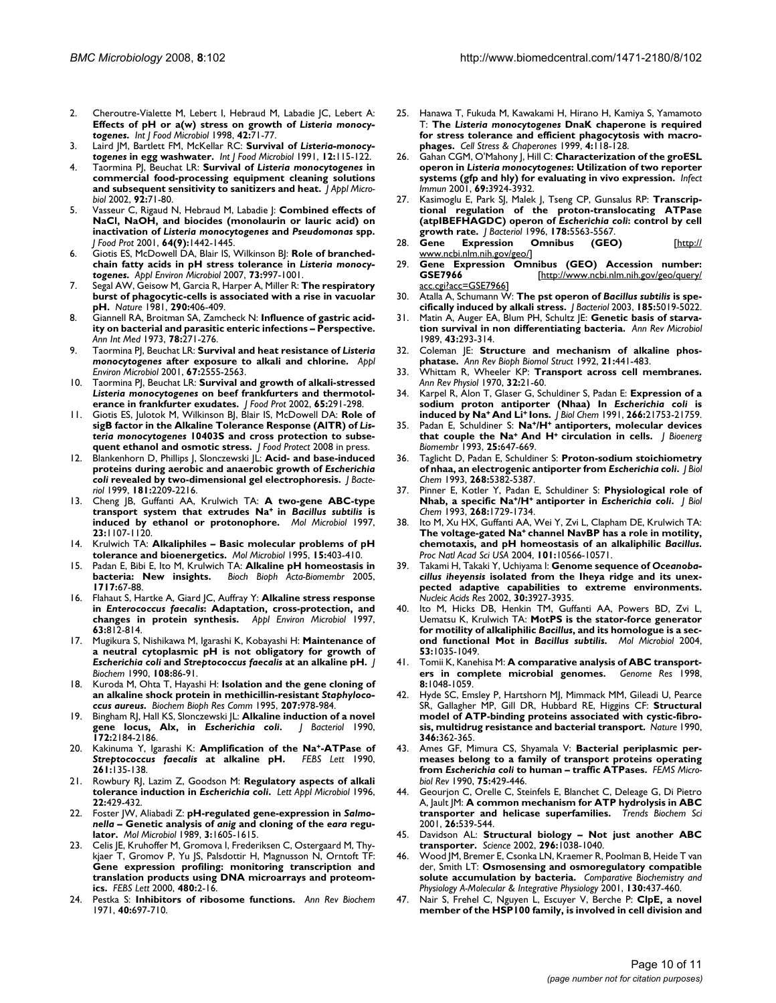- 2. Cheroutre-Vialette M, Lebert I, Hebraud M, Labadie JC, Lebert A: **Effects of pH or a(w) stress on growth of** *Listeria monocytogenes***[.](http://www.ncbi.nlm.nih.gov/entrez/query.fcgi?cmd=Retrieve&db=PubMed&dopt=Abstract&list_uids=9706800)** *Int J Food Microbiol* 1998, **42:**71-77.
- 3. Laird JM, Bartlett FM, McKellar RC: **Survival of** *Listeria-monocytogenes* **[in egg washwater.](http://www.ncbi.nlm.nih.gov/entrez/query.fcgi?cmd=Retrieve&db=PubMed&dopt=Abstract&list_uids=1904755)** *Int J Food Microbiol* 1991, **12:**115-122.
- 4. Taormina PJ, Beuchat LR: **Survival of** *Listeria monocytogenes* **[in](http://www.ncbi.nlm.nih.gov/entrez/query.fcgi?cmd=Retrieve&db=PubMed&dopt=Abstract&list_uids=11849330) [commercial food-processing equipment cleaning solutions](http://www.ncbi.nlm.nih.gov/entrez/query.fcgi?cmd=Retrieve&db=PubMed&dopt=Abstract&list_uids=11849330) [and subsequent sensitivity to sanitizers and heat.](http://www.ncbi.nlm.nih.gov/entrez/query.fcgi?cmd=Retrieve&db=PubMed&dopt=Abstract&list_uids=11849330)** *J Appl Microbiol* 2002, **92:**71-80.
- 5. Vasseur C, Rigaud N, Hebraud M, Labadie J: **Combined effects of NaCl, NaOH, and biocides (monolaurin or lauric acid) on inactivation of** *Listeria monocytogenes* **and** *Pseudomonas* **[spp.](http://www.ncbi.nlm.nih.gov/entrez/query.fcgi?cmd=Retrieve&db=PubMed&dopt=Abstract&list_uids=11563526)** *J Food Prot* 2001, **64(9):**1442-1445.
- 6. Giotis ES, McDowell DA, Blair IS, Wilkinson BJ: **Role of branchedchain fatty acids in pH stress tolerance in** *Listeria monocytogenes***[.](http://www.ncbi.nlm.nih.gov/entrez/query.fcgi?cmd=Retrieve&db=PubMed&dopt=Abstract&list_uids=17114323)** *Appl Environ Microbiol* 2007, **73:**997-1001.
- 7. Segal AW, Geisow M, Garcia R, Harper A, Miller R: **[The respiratory](http://www.ncbi.nlm.nih.gov/entrez/query.fcgi?cmd=Retrieve&db=PubMed&dopt=Abstract&list_uids=7219526) [burst of phagocytic-cells is associated with a rise in vacuolar](http://www.ncbi.nlm.nih.gov/entrez/query.fcgi?cmd=Retrieve&db=PubMed&dopt=Abstract&list_uids=7219526) [pH.](http://www.ncbi.nlm.nih.gov/entrez/query.fcgi?cmd=Retrieve&db=PubMed&dopt=Abstract&list_uids=7219526)** *Nature* 1981, **290:**406-409.
- 8. Giannell RA, Broitman SA, Zamcheck N: **[Influence of gastric acid](http://www.ncbi.nlm.nih.gov/entrez/query.fcgi?cmd=Retrieve&db=PubMed&dopt=Abstract&list_uids=4567180)[ity on bacterial and parasitic enteric infections – Perspective.](http://www.ncbi.nlm.nih.gov/entrez/query.fcgi?cmd=Retrieve&db=PubMed&dopt=Abstract&list_uids=4567180)** *Ann Int Med* 1973, **78:**271-276.
- 9. Taormina PJ, Beuchat LR: **Survival and heat resistance of** *Listeria monocytogenes* **[after exposure to alkali and chlorine.](http://www.ncbi.nlm.nih.gov/entrez/query.fcgi?cmd=Retrieve&db=PubMed&dopt=Abstract&list_uids=11375163)** *Appl Environ Microbiol* 2001, **67:**2555-2563.
- 10. Taormina PJ, Beuchat LR: **Survival and growth of alkali-stressed** *Listeria monocytogenes* **[on beef frankfurters and thermotol](http://www.ncbi.nlm.nih.gov/entrez/query.fcgi?cmd=Retrieve&db=PubMed&dopt=Abstract&list_uids=11848560)[erance in frankfurter exudates.](http://www.ncbi.nlm.nih.gov/entrez/query.fcgi?cmd=Retrieve&db=PubMed&dopt=Abstract&list_uids=11848560)** *J Food Prot* 2002, **65:**291-298.
- 11. Giotis ES, Julotok M, Wilkinson BJ, Blair IS, McDowell DA: **Role of sigB factor in the Alkaline Tolerance Response (AlTR) of** *Listeria monocytogenes* **10403S and cross protection to subsequent ethanol and osmotic stress.** *J Food Protect* 2008 in press.
- 12. Blankenhorn D, Phillips J, Slonczewski JL: **Acid- and base-induced proteins during aerobic and anaerobic growth of** *Escherichia coli* **[revealed by two-dimensional gel electrophoresis.](http://www.ncbi.nlm.nih.gov/entrez/query.fcgi?cmd=Retrieve&db=PubMed&dopt=Abstract&list_uids=10094700)** *J Bacteriol* 1999, **181:**2209-2216.
- 13. Cheng JB, Guffanti AA, Krulwich TA: **A two-gene ABC-type transport system that extrudes Na+ in** *Bacillus subtilis* **[is](http://www.ncbi.nlm.nih.gov/entrez/query.fcgi?cmd=Retrieve&db=PubMed&dopt=Abstract&list_uids=9106203) [induced by ethanol or protonophore.](http://www.ncbi.nlm.nih.gov/entrez/query.fcgi?cmd=Retrieve&db=PubMed&dopt=Abstract&list_uids=9106203)** *Mol Microbiol* 1997, **23:**1107-1120.
- 14. Krulwich TA: **[Alkaliphiles Basic molecular problems of pH](http://www.ncbi.nlm.nih.gov/entrez/query.fcgi?cmd=Retrieve&db=PubMed&dopt=Abstract&list_uids=7783613) [tolerance and bioenergetics.](http://www.ncbi.nlm.nih.gov/entrez/query.fcgi?cmd=Retrieve&db=PubMed&dopt=Abstract&list_uids=7783613)** *Mol Microbiol* 1995, **15:**403-410.
- 15. Padan E, Bibi E, Ito M, Krulwich TA: **Alkaline pH homeostasis in bacteria: New insights.** *Bioch Bioph Acta-Biomembr* 2005, **1717:**67-88.
- 16. Flahaut S, Hartke A, Giard JC, Auffray Y: **Alkaline stress response in** *Enterococcus faecalis***[: Adaptation, cross-protection, and](http://www.ncbi.nlm.nih.gov/entrez/query.fcgi?cmd=Retrieve&db=PubMed&dopt=Abstract&list_uids=9023964) [changes in protein synthesis.](http://www.ncbi.nlm.nih.gov/entrez/query.fcgi?cmd=Retrieve&db=PubMed&dopt=Abstract&list_uids=9023964)** *Appl Environ Microbiol* 1997, **63:**812-814.
- <span id="page-9-0"></span>17. Mugikura S, Nishikawa M, Igarashi K, Kobayashi H: **Maintenance of a neutral cytoplasmic pH is not obligatory for growth of** *Escherichia coli* **and** *Streptococcus faecalis* **[at an alkaline pH.](http://www.ncbi.nlm.nih.gov/entrez/query.fcgi?cmd=Retrieve&db=PubMed&dopt=Abstract&list_uids=2121723)** *J Biochem* 1990, **108:**86-91.
- 18. Kuroda M, Ohta T, Hayashi H: **Isolation and the gene cloning of an alkaline shock protein in methicillin-resistant** *Staphylococcus aureus***.** *Biochem Bioph Res Comm* 1995, **207:**978-984.
- 19. Bingham RJ, Hall KS, Slonczewski JL: **Alkaline induction of a novel gene locus, Alx, in** *Escherichia coli***[.](http://www.ncbi.nlm.nih.gov/entrez/query.fcgi?cmd=Retrieve&db=PubMed&dopt=Abstract&list_uids=2108134)** *J Bacteriol* 1990, **172:**2184-2186.
- 20. Kakinuma Y, Igarashi K: **Amplification of the Na+-ATPase of** *Streptococcus faecalis [at alkaline pH.](http://www.ncbi.nlm.nih.gov/entrez/query.fcgi?cmd=Retrieve&db=PubMed&dopt=Abstract&list_uids=2137787)* **261:**135-138.
- 21. Rowbury RJ, Lazim Z, Goodson M: **Regulatory aspects of alkali tolerance induction in** *Escherichia coli***[.](http://www.ncbi.nlm.nih.gov/entrez/query.fcgi?cmd=Retrieve&db=PubMed&dopt=Abstract&list_uids=8695068)** *Lett Appl Microbiol* 1996, **22:**429-432.
- 22. Foster JW, Aliabadi Z: **pH-regulated gene-expression in** *Salmonella* **– Genetic analysis of** *anig* **and cloning of the** *eara* **[regu](http://www.ncbi.nlm.nih.gov/entrez/query.fcgi?cmd=Retrieve&db=PubMed&dopt=Abstract&list_uids=2559299)[lator.](http://www.ncbi.nlm.nih.gov/entrez/query.fcgi?cmd=Retrieve&db=PubMed&dopt=Abstract&list_uids=2559299)** *Mol Microbiol* 1989, **3:**1605-1615.
- 23. Celis JE, Kruhoffer M, Gromova I, Frederiksen C, Ostergaard M, Thykjaer T, Gromov P, Yu JS, Palsdottir H, Magnusson N, Orntoft TF: **[Gene expression profiling: monitoring transcription and](http://www.ncbi.nlm.nih.gov/entrez/query.fcgi?cmd=Retrieve&db=PubMed&dopt=Abstract&list_uids=10967322) translation products using DNA microarrays and proteom[ics.](http://www.ncbi.nlm.nih.gov/entrez/query.fcgi?cmd=Retrieve&db=PubMed&dopt=Abstract&list_uids=10967322)** *FEBS Lett* 2000, **480:**2-16.
- 24. Pestka S: **Inhibitors of ribosome functions.** *Ann Rev Biochem* 1971, **40:**697-710.
- 25. Hanawa T, Fukuda M, Kawakami H, Hirano H, Kamiya S, Yamamoto T: **The** *Listeria monocytogenes* **[DnaK chaperone is required](http://www.ncbi.nlm.nih.gov/entrez/query.fcgi?cmd=Retrieve&db=PubMed&dopt=Abstract&list_uids=10547061) [for stress tolerance and efficient phagocytosis with macro](http://www.ncbi.nlm.nih.gov/entrez/query.fcgi?cmd=Retrieve&db=PubMed&dopt=Abstract&list_uids=10547061)[phages.](http://www.ncbi.nlm.nih.gov/entrez/query.fcgi?cmd=Retrieve&db=PubMed&dopt=Abstract&list_uids=10547061)** *Cell Stress & Chaperones* 1999, **4:**118-128.
- 26. Gahan CGM, O'Mahony J, Hill C: **Characterization of the groESL operon in** *Listeria monocytogenes***[: Utilization of two reporter](http://www.ncbi.nlm.nih.gov/entrez/query.fcgi?cmd=Retrieve&db=PubMed&dopt=Abstract&list_uids=11349060) [systems \(gfp and hly\) for evaluating in vivo expression.](http://www.ncbi.nlm.nih.gov/entrez/query.fcgi?cmd=Retrieve&db=PubMed&dopt=Abstract&list_uids=11349060)** *Infect Immun* 2001, **69:**3924-3932.
- 27. Kasimoglu E, Park SJ, Malek J, Tseng CP, Gunsalus RP: **Transcriptional regulation of the proton-translocating ATPase (atpIBEFHAGDC) operon of** *Escherichia coli***[: control by cell](http://www.ncbi.nlm.nih.gov/entrez/query.fcgi?cmd=Retrieve&db=PubMed&dopt=Abstract&list_uids=8824597) [growth rate.](http://www.ncbi.nlm.nih.gov/entrez/query.fcgi?cmd=Retrieve&db=PubMed&dopt=Abstract&list_uids=8824597)** *J Bacteriol* 1996, **178:**5563-5567.
- Expression Omnibus (GEO) [\[http://](http://www.ncbi.nlm.nih.gov/geo/) [www.ncbi.nlm.nih.gov/geo/\]](http://www.ncbi.nlm.nih.gov/geo/)
- 29. **Gene Expression Omnibus (GEO) Accession number:** GSE7966 [\[http://www.ncbi.nlm.nih.gov/geo/query/](http://www.ncbi.nlm.nih.gov/geo/query/acc.cgi?acc=GSE7966) [acc.cgi?acc=GSE7966](http://www.ncbi.nlm.nih.gov/geo/query/acc.cgi?acc=GSE7966)]
- 30. Atalla A, Schumann W: **The pst operon of** *Bacillus subtilis* **[is spe](http://www.ncbi.nlm.nih.gov/entrez/query.fcgi?cmd=Retrieve&db=PubMed&dopt=Abstract&list_uids=12897025)[cifically induced by alkali stress.](http://www.ncbi.nlm.nih.gov/entrez/query.fcgi?cmd=Retrieve&db=PubMed&dopt=Abstract&list_uids=12897025)** *J Bacteriol* 2003, **185:**5019-5022.
- 31. Matin A, Auger EA, Blum PH, Schultz JE: **Genetic basis of starvation survival in non differentiating bacteria.** *Ann Rev Microbiol* 1989, **43:**293-314.
- 32. Coleman JE: **Structure and mechanism of alkaline phosphatase.** *Ann Rev Bioph Biomol Struct* 1992, **21:**441-483.
- 33. Whittam R, Wheeler KP: **Transport across cell membranes.** *Ann Rev Physiol* 1970, **32:**21-60.
- <span id="page-9-1"></span>34. Karpel R, Alon T, Glaser G, Schuldiner S, Padan E: **Expression of a sodium proton antiporter (Nhaa) In** *Escherichia coli* **is induced by Na+ And Li+ [Ions.](http://www.ncbi.nlm.nih.gov/entrez/query.fcgi?cmd=Retrieve&db=PubMed&dopt=Abstract&list_uids=1657980)** *J Biol Chem* 1991, **266:**21753-21759.
- 35. Padan E, Schuldiner S: **Na+/H+ antiporters, molecular devices that couple the Na+ And H+ [circulation in cells.](http://www.ncbi.nlm.nih.gov/entrez/query.fcgi?cmd=Retrieve&db=PubMed&dopt=Abstract&list_uids=8144493)** *J Bioenerg Biomembr* 1993, **25:**647-669.
- 36. Taglicht D, Padan E, Schuldiner S: **Proton-sodium stoichiometry of nhaa, an electrogenic antiporter from** *Escherichia coli***[.](http://www.ncbi.nlm.nih.gov/entrez/query.fcgi?cmd=Retrieve&db=PubMed&dopt=Abstract&list_uids=8383669)** *J Biol Chem* 1993, **268:**5382-5387.
- 37. Pinner E, Kotler Y, Padan E, Schuldiner S: **Physiological role of Nhab, a specific Na+/H+ antiporter in** *Escherichia coli***[.](http://www.ncbi.nlm.nih.gov/entrez/query.fcgi?cmd=Retrieve&db=PubMed&dopt=Abstract&list_uids=8093613)** *J Biol Chem* 1993, **268:**1729-1734.
- Ito M, Xu HX, Guffanti AA, Wei Y, Zvi L, Clapham DE, Krulwich TA: **The voltage-gated Na+ channel NavBP has a role in motility, chemotaxis, and pH homeostasis of an alkaliphilic** *Bacillus***[.](http://www.ncbi.nlm.nih.gov/entrez/query.fcgi?cmd=Retrieve&db=PubMed&dopt=Abstract&list_uids=15243157)** *Proc Natl Acad Sci USA* 2004, **101:**10566-10571.
- 39. Takami H, Takaki Y, Uchiyama I: **Genome sequence of** *Oceanobacillus iheyensis* **[isolated from the Iheya ridge and its unex](http://www.ncbi.nlm.nih.gov/entrez/query.fcgi?cmd=Retrieve&db=PubMed&dopt=Abstract&list_uids=12235376)[pected adaptive capabilities to extreme environments.](http://www.ncbi.nlm.nih.gov/entrez/query.fcgi?cmd=Retrieve&db=PubMed&dopt=Abstract&list_uids=12235376)** *Nucleic Acids Res* 2002, **30:**3927-3935.
- 40. Ito M, Hicks DB, Henkin TM, Guffanti AA, Powers BD, Zvi L, Uematsu K, Krulwich TA: **MotPS is the stator-force generator for motility of alkaliphilic** *Bacillus***, and its homologue is a second functional Mot in** *Bacillus subtilis***[.](http://www.ncbi.nlm.nih.gov/entrez/query.fcgi?cmd=Retrieve&db=PubMed&dopt=Abstract&list_uids=15306009)** *Mol Microbiol* 2004, **53:**1035-1049.
- 41. Tomii K, Kanehisa M: **[A comparative analysis of ABC transport](http://www.ncbi.nlm.nih.gov/entrez/query.fcgi?cmd=Retrieve&db=PubMed&dopt=Abstract&list_uids=9799792)[ers in complete microbial genomes.](http://www.ncbi.nlm.nih.gov/entrez/query.fcgi?cmd=Retrieve&db=PubMed&dopt=Abstract&list_uids=9799792)** *Genome Res* 1998, **8:**1048-1059.
- 42. Hyde SC, Emsley P, Hartshorn MJ, Mimmack MM, Gileadi U, Pearce SR, Gallagher MP, Gill DR, Hubbard RE, Higgins CF: **[Structural](http://www.ncbi.nlm.nih.gov/entrez/query.fcgi?cmd=Retrieve&db=PubMed&dopt=Abstract&list_uids=1973824) [model of ATP-binding proteins associated with cystic-fibro](http://www.ncbi.nlm.nih.gov/entrez/query.fcgi?cmd=Retrieve&db=PubMed&dopt=Abstract&list_uids=1973824)[sis, multidrug resistance and bacterial transport.](http://www.ncbi.nlm.nih.gov/entrez/query.fcgi?cmd=Retrieve&db=PubMed&dopt=Abstract&list_uids=1973824)** *Nature* 1990, **346:**362-365.
- 43. Ames GF, Mimura CS, Shyamala V: **Bacterial periplasmic permeases belong to a family of transport proteins operating from** *Escherichia coli* **to human – traffic ATPases.** *FEMS Microbiol Rev* 1990, **75:**429-446.
- 44. Geourjon C, Orelle C, Steinfels E, Blanchet C, Deleage G, Di Pietro A, Jault JM: **[A common mechanism for ATP hydrolysis in ABC](http://www.ncbi.nlm.nih.gov/entrez/query.fcgi?cmd=Retrieve&db=PubMed&dopt=Abstract&list_uids=11551790) [transporter and helicase superfamilies.](http://www.ncbi.nlm.nih.gov/entrez/query.fcgi?cmd=Retrieve&db=PubMed&dopt=Abstract&list_uids=11551790)** *Trends Biochem Sci* 2001, **26:**539-544.
- 45. Davidson AL: **[Structural biology Not just another ABC](http://www.ncbi.nlm.nih.gov/entrez/query.fcgi?cmd=Retrieve&db=PubMed&dopt=Abstract&list_uids=12004108) [transporter.](http://www.ncbi.nlm.nih.gov/entrez/query.fcgi?cmd=Retrieve&db=PubMed&dopt=Abstract&list_uids=12004108)** *Science* 2002, **296:**1038-1040.
- 46. Wood JM, Bremer E, Csonka LN, Kraemer R, Poolman B, Heide T van der, Smith LT: **Osmosensing and osmoregulatory compatible solute accumulation by bacteria.** *Comparative Biochemistry and Physiology A-Molecular & Integrative Physiology* 2001, **130:**437-460.
- 47. Nair S, Frehel C, Nguyen L, Escuyer V, Berche P: **ClpE, a novel member of the HSP100 family, is involved in cell division and**